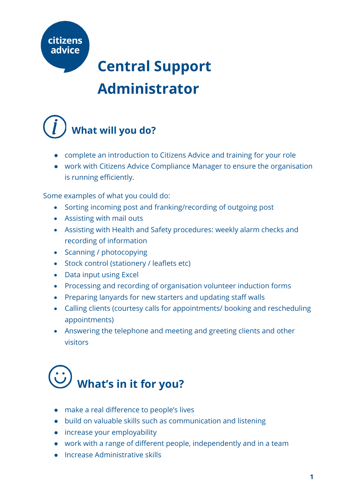

### **Administrator**



- complete an introduction to Citizens Advice and training for your role
- work with Citizens Advice Compliance Manager to ensure the organisation is running efficiently.

Some examples of what you could do:

- Sorting incoming post and franking/recording of outgoing post
- Assisting with mail outs
- Assisting with Health and Safety procedures: weekly alarm checks and recording of information
- Scanning / photocopying
- Stock control (stationery / leaflets etc)
- Data input using Excel
- Processing and recording of organisation volunteer induction forms
- Preparing lanyards for new starters and updating staff walls
- Calling clients (courtesy calls for appointments/ booking and rescheduling appointments)
- Answering the telephone and meeting and greeting clients and other visitors

## **What's in it for you?**

- make a real difference to people's lives
- build on valuable skills such as communication and listening
- increase your employability
- work with a range of different people, independently and in a team
- Increase Administrative skills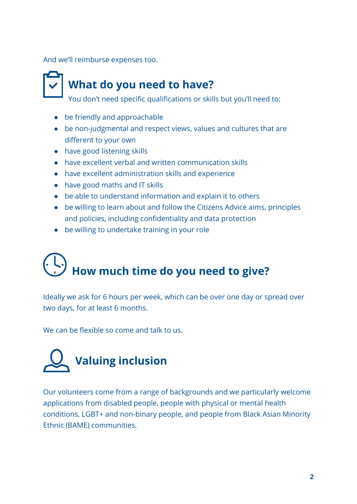And we'll reimburse expenses too.

### **What do you need to have?**

You don't need specific qualifications or skills but you'll need to:

- be friendly and approachable
- be non-judgmental and respect views, values and cultures that are different to your own
- have good listening skills
- have excellent verbal and written communication skills
- have excellent administration skills and experience
- have good maths and IT skills
- be able to understand information and explain it to others
- be willing to learn about and follow the Citizens Advice aims, principles and policies, including confidentiality and data protection
- be willing to undertake training in your role

# **How much time do you need to give?**

Ideally we ask for 6 hours per week, which can be over one day or spread over two days, for at least 6 months.

We can be flexible so come and talk to us.



Our volunteers come from a range of backgrounds and we particularly welcome applications from disabled people, people with physical or mental health conditions, LGBT+ and non-binary people, and people from Black Asian Minority Ethnic (BAME) communities.